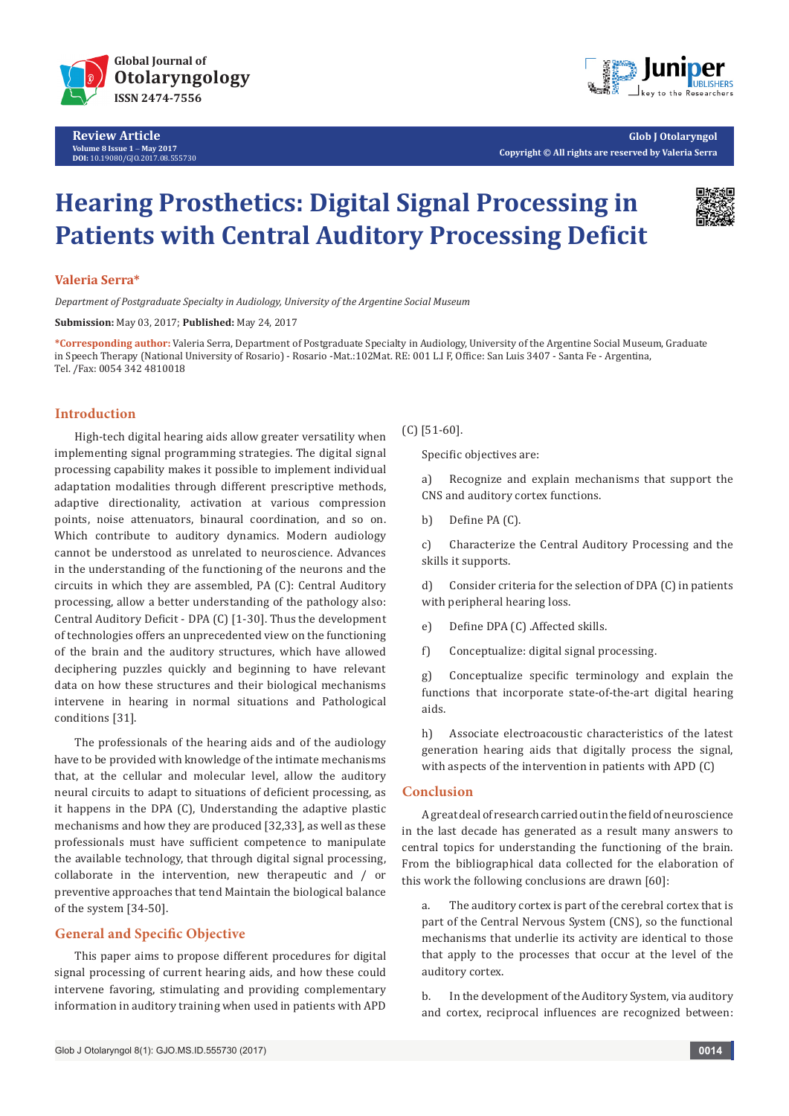

**Review Article Volume 8 Issue 1** - **May 2017 DOI:** [10.19080/GJO.2017.08.5557](http://dx.doi.org/10.19080/GJO.2017.08.555730)30



**Glob J Otolaryngol Copyright © All rights are reserved by Valeria Serra**

# **Hearing Prosthetics: Digital Signal Processing in Patients with Central Auditory Processing Deficit**



#### **Valeria Serra\***

*Department of Postgraduate Specialty in Audiology, University of the Argentine Social Museum*

**Submission:** May 03, 2017; **Published:** May 24, 2017

**\*Corresponding author:** Valeria Serra, Department of Postgraduate Specialty in Audiology, University of the Argentine Social Museum, Graduate in Speech Therapy (National University of Rosario) - Rosario -Mat.:102Mat. RE: 001 L.I F, Office: San Luis 3407 - Santa Fe - Argentina, Tel. /Fax: 0054 342 4810018

## **Introduction**

High-tech digital hearing aids allow greater versatility when implementing signal programming strategies. The digital signal processing capability makes it possible to implement individual adaptation modalities through different prescriptive methods, adaptive directionality, activation at various compression points, noise attenuators, binaural coordination, and so on. Which contribute to auditory dynamics. Modern audiology cannot be understood as unrelated to neuroscience. Advances in the understanding of the functioning of the neurons and the circuits in which they are assembled, PA (C): Central Auditory processing, allow a better understanding of the pathology also: Central Auditory Deficit - DPA (C) [1-30]. Thus the development of technologies offers an unprecedented view on the functioning of the brain and the auditory structures, which have allowed deciphering puzzles quickly and beginning to have relevant data on how these structures and their biological mechanisms intervene in hearing in normal situations and Pathological conditions [31].

The professionals of the hearing aids and of the audiology have to be provided with knowledge of the intimate mechanisms that, at the cellular and molecular level, allow the auditory neural circuits to adapt to situations of deficient processing, as it happens in the DPA (C), Understanding the adaptive plastic mechanisms and how they are produced [32,33], as well as these professionals must have sufficient competence to manipulate the available technology, that through digital signal processing, collaborate in the intervention, new therapeutic and / or preventive approaches that tend Maintain the biological balance of the system [34-50].

## **General and Specific Objective**

This paper aims to propose different procedures for digital signal processing of current hearing aids, and how these could intervene favoring, stimulating and providing complementary information in auditory training when used in patients with APD

(C) [51-60].

Specific objectives are:

a) Recognize and explain mechanisms that support the CNS and auditory cortex functions.

b) Define PA (C).

c) Characterize the Central Auditory Processing and the skills it supports.

d) Consider criteria for the selection of DPA (C) in patients with peripheral hearing loss.

e) Define DPA (C) .Affected skills.

f) Conceptualize: digital signal processing.

g) Conceptualize specific terminology and explain the functions that incorporate state-of-the-art digital hearing aids.

h) Associate electroacoustic characteristics of the latest generation hearing aids that digitally process the signal, with aspects of the intervention in patients with APD (C)

### **Conclusion**

A great deal of research carried out in the field of neuroscience in the last decade has generated as a result many answers to central topics for understanding the functioning of the brain. From the bibliographical data collected for the elaboration of this work the following conclusions are drawn [60]:

a. The auditory cortex is part of the cerebral cortex that is part of the Central Nervous System (CNS), so the functional mechanisms that underlie its activity are identical to those that apply to the processes that occur at the level of the auditory cortex.

b. In the development of the Auditory System, via auditory and cortex, reciprocal influences are recognized between: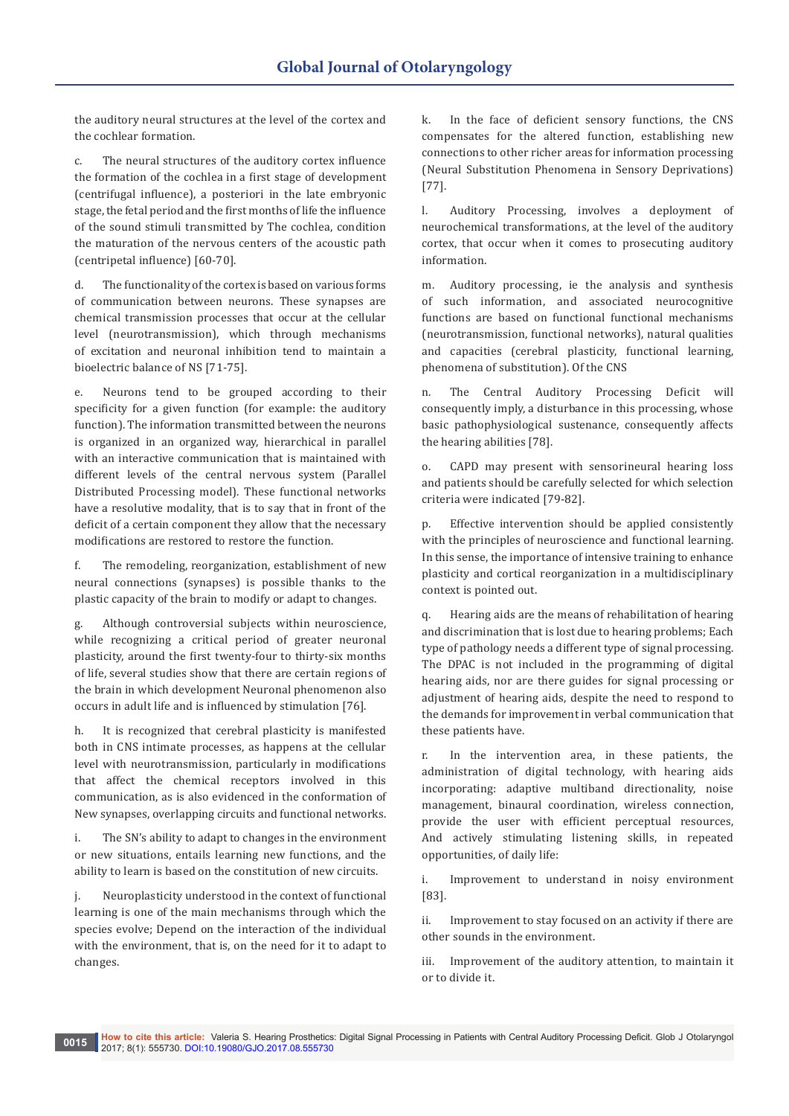the auditory neural structures at the level of the cortex and the cochlear formation.

c. The neural structures of the auditory cortex influence the formation of the cochlea in a first stage of development (centrifugal influence), a posteriori in the late embryonic stage, the fetal period and the first months of life the influence of the sound stimuli transmitted by The cochlea, condition the maturation of the nervous centers of the acoustic path (centripetal influence) [60-70].

d. The functionality of the cortex is based on various forms of communication between neurons. These synapses are chemical transmission processes that occur at the cellular level (neurotransmission), which through mechanisms of excitation and neuronal inhibition tend to maintain a bioelectric balance of NS [71-75].

e. Neurons tend to be grouped according to their specificity for a given function (for example: the auditory function). The information transmitted between the neurons is organized in an organized way, hierarchical in parallel with an interactive communication that is maintained with different levels of the central nervous system (Parallel Distributed Processing model). These functional networks have a resolutive modality, that is to say that in front of the deficit of a certain component they allow that the necessary modifications are restored to restore the function.

f. The remodeling, reorganization, establishment of new neural connections (synapses) is possible thanks to the plastic capacity of the brain to modify or adapt to changes.

Although controversial subjects within neuroscience, while recognizing a critical period of greater neuronal plasticity, around the first twenty-four to thirty-six months of life, several studies show that there are certain regions of the brain in which development Neuronal phenomenon also occurs in adult life and is influenced by stimulation [76].

h. It is recognized that cerebral plasticity is manifested both in CNS intimate processes, as happens at the cellular level with neurotransmission, particularly in modifications that affect the chemical receptors involved in this communication, as is also evidenced in the conformation of New synapses, overlapping circuits and functional networks.

i. The SN's ability to adapt to changes in the environment or new situations, entails learning new functions, and the ability to learn is based on the constitution of new circuits.

j. Neuroplasticity understood in the context of functional learning is one of the main mechanisms through which the species evolve; Depend on the interaction of the individual with the environment, that is, on the need for it to adapt to changes.

k. In the face of deficient sensory functions, the CNS compensates for the altered function, establishing new connections to other richer areas for information processing (Neural Substitution Phenomena in Sensory Deprivations) [77].

l. Auditory Processing, involves a deployment of neurochemical transformations, at the level of the auditory cortex, that occur when it comes to prosecuting auditory information.

m. Auditory processing, ie the analysis and synthesis of such information, and associated neurocognitive functions are based on functional functional mechanisms (neurotransmission, functional networks), natural qualities and capacities (cerebral plasticity, functional learning, phenomena of substitution). Of the CNS

n. The Central Auditory Processing Deficit will consequently imply, a disturbance in this processing, whose basic pathophysiological sustenance, consequently affects the hearing abilities [78].

o. CAPD may present with sensorineural hearing loss and patients should be carefully selected for which selection criteria were indicated [79-82].

p. Effective intervention should be applied consistently with the principles of neuroscience and functional learning. In this sense, the importance of intensive training to enhance plasticity and cortical reorganization in a multidisciplinary context is pointed out.

q. Hearing aids are the means of rehabilitation of hearing and discrimination that is lost due to hearing problems; Each type of pathology needs a different type of signal processing. The DPAC is not included in the programming of digital hearing aids, nor are there guides for signal processing or adjustment of hearing aids, despite the need to respond to the demands for improvement in verbal communication that these patients have.

r. In the intervention area, in these patients, the administration of digital technology, with hearing aids incorporating: adaptive multiband directionality, noise management, binaural coordination, wireless connection, provide the user with efficient perceptual resources, And actively stimulating listening skills, in repeated opportunities, of daily life:

i. Improvement to understand in noisy environment [83].

ii. Improvement to stay focused on an activity if there are other sounds in the environment.

iii. Improvement of the auditory attention, to maintain it or to divide it.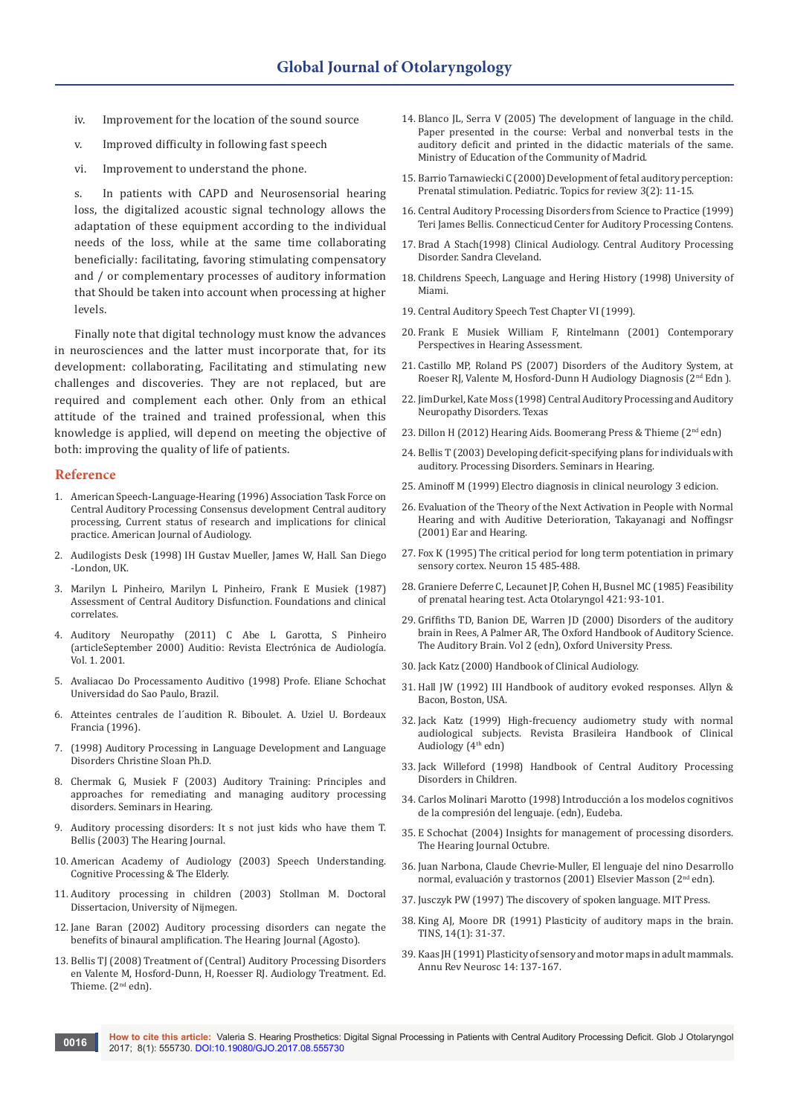- iv. Improvement for the location of the sound source
- v. Improved difficulty in following fast speech
- vi. Improvement to understand the phone.

s. In patients with CAPD and Neurosensorial hearing loss, the digitalized acoustic signal technology allows the adaptation of these equipment according to the individual needs of the loss, while at the same time collaborating beneficially: facilitating, favoring stimulating compensatory and / or complementary processes of auditory information that Should be taken into account when processing at higher levels.

Finally note that digital technology must know the advances in neurosciences and the latter must incorporate that, for its development: collaborating, Facilitating and stimulating new challenges and discoveries. They are not replaced, but are required and complement each other. Only from an ethical attitude of the trained and trained professional, when this knowledge is applied, will depend on meeting the objective of both: improving the quality of life of patients.

#### **Reference**

- 1. [American Speech-Language-Hearing \(1996\) Association Task Force on](https://arizona.pure.elsevier.com/en/publications/central-auditory-processing-current-status-of-research-and-implic)  [Central Auditory Processing Consensus development Central auditory](https://arizona.pure.elsevier.com/en/publications/central-auditory-processing-current-status-of-research-and-implic)  [processing, Current status of research and implications for clinical](https://arizona.pure.elsevier.com/en/publications/central-auditory-processing-current-status-of-research-and-implic)  [practice. American Journal of Audiology.](https://arizona.pure.elsevier.com/en/publications/central-auditory-processing-current-status-of-research-and-implic)
- 2. Audilogists Desk (1998) IH Gustav Mueller, James W, Hall. San Diego -London, UK.
- 3. Marilyn L Pinheiro, Marilyn L Pinheiro, Frank E Musiek (1987) Assessment of Central Auditory Disfunction. Foundations and clinical correlates.
- 4. [Auditory Neuropathy \(2011\) C Abe L Garotta, S Pinheiro](http://www.auditio.com)  [\(articleSeptember 2000\) Auditio: Revista Electrónica de Audiología.](http://www.auditio.com)  [Vol. 1. 2001.](http://www.auditio.com)
- 5. Avaliacao Do Processamento Auditivo (1998) Profe. Eliane Schochat Universidad do Sao Paulo, Brazil.
- 6. Atteintes centrales de l´audition R. Biboulet. A. Uziel U. Bordeaux Francia (1996).
- 7. (1998) Auditory Processing in Language Development and Language Disorders Christine Sloan Ph.D.
- 8. [Chermak G, Musiek F \(2003\) Auditory Training: Principles and](https://arizona.pure.elsevier.com/en/publications/auditory-training-principles-and-approaches-for-remediating-and-m)  [approaches for remediating and managing auditory processing](https://arizona.pure.elsevier.com/en/publications/auditory-training-principles-and-approaches-for-remediating-and-m)  [disorders. Seminars in Hearing.](https://arizona.pure.elsevier.com/en/publications/auditory-training-principles-and-approaches-for-remediating-and-m)
- 9. Auditory processing disorders: It s not just kids who have them T. Bellis (2003) The Hearing Journal.
- 10. American Academy of Audiology (2003) Speech Understanding. Cognitive Processing & The Elderly.
- 11. Auditory processing in children (2003) Stollman M. Doctoral Dissertacion, University of Nijmegen.
- 12. Jane Baran (2002) Auditory processing disorders can negate the benefits of binaural amplification. The Hearing Journal (Agosto).
- 13. Bellis TJ (2008) Treatment of (Central) Auditory Processing Disorders en Valente M, Hosford-Dunn, H, Roesser RJ. Audiology Treatment. Ed. Thieme. (2<sup>nd</sup> edn).
- 14. Blanco JL, Serra V (2005) The development of language in the child. Paper presented in the course: Verbal and nonverbal tests in the auditory deficit and printed in the didactic materials of the same. Ministry of Education of the Community of Madrid.
- 15. Barrio Tarnawiecki C (2000) Development of fetal auditory perception: Prenatal stimulation. Pediatric. Topics for review 3(2): 11-15.
- 16. Central Auditory Processing Disorders from Science to Practice (1999) Teri James Bellis. Connecticud Center for Auditory Processing Contens.
- 17. Brad A Stach(1998) Clinical Audiology. Central Auditory Processing Disorder. Sandra Cleveland.
- 18. Childrens Speech, Language and Hering History (1998) University of Miami.
- 19. Central Auditory Speech Test Chapter VI (1999).
- 20. Frank E Musiek William F, Rintelmann (2001) Contemporary Perspectives in Hearing Assessment.
- 21. Castillo MP, Roland PS (2007) Disorders of the Auditory System, at Roeser RJ, Valente M, Hosford-Dunn H Audiology Diagnosis (2<sup>nd</sup> Edn ).
- 22. JimDurkel, Kate Moss (1998) Central Auditory Processing and Auditory Neuropathy Disorders. Texas
- 23. Dillon H (2012) Hearing Aids. Boomerang Press & Thieme (2<sup>nd</sup> edn)
- 24. Bellis T (2003) Developing deficit-specifying plans for individuals with auditory. Processing Disorders. Seminars in Hearing.
- 25. Aminoff M (1999) Electro diagnosis in clinical neurology 3 edicion.
- 26. Evaluation of the Theory of the Next Activation in People with Normal Hearing and with Auditive Deterioration, Takayanagi and Noffingsr (2001) Ear and Hearing.
- 27. Fox K (1995) The critical period for long term potentiation in primary sensory cortex. Neuron 15 485-488.
- 28. Graniere Deferre C, Lecaunet JP, Cohen H, Busnel MC (1985) Feasibility of prenatal hearing test. Acta Otolaryngol 421: 93-101.
- 29. Griffiths TD, Banion DE, Warren JD (2000) Disorders of the auditory brain in Rees, A Palmer AR, The Oxford Handbook of Auditory Science. The Auditory Brain. Vol 2 (edn), Oxford University Press.
- 30. Jack Katz (2000) Handbook of Clinical Audiology.
- 31. Hall JW (1992) III Handbook of auditory evoked responses. Allyn & Bacon, Boston, USA.
- 32. Jack Katz (1999) High-frecuency audiometry study with normal audiological subjects. Revista Brasileira Handbook of Clinical Audiology (4th edn)
- 33. Jack Willeford (1998) Handbook of Central Auditory Processing Disorders in Children.
- 34. Carlos Molinari Marotto (1998) Introducción a los modelos cognitivos de la compresión del lenguaje. (edn), Eudeba.
- 35. E Schochat (2004) Insights for management of processing disorders. The Hearing Journal Octubre.
- 36. Juan Narbona, Claude Chevrie-Muller, El lenguaje del nino Desarrollo normal, evaluación y trastornos (2001) Elsevier Masson (2nd edn).
- 37. Jusczyk PW (1997) The discovery of spoken language. MIT Press.
- 38. King AJ, Moore DR (1991) Plasticity of auditory maps in the brain. TINS, 14(1): 31-37.
- 39. [Kaas JH \(1991\) Plasticity of sensory and motor maps in adult mammals.](https://www.ncbi.nlm.nih.gov/pubmed/2031570)  [Annu Rev Neurosc 14: 137-167.](https://www.ncbi.nlm.nih.gov/pubmed/2031570)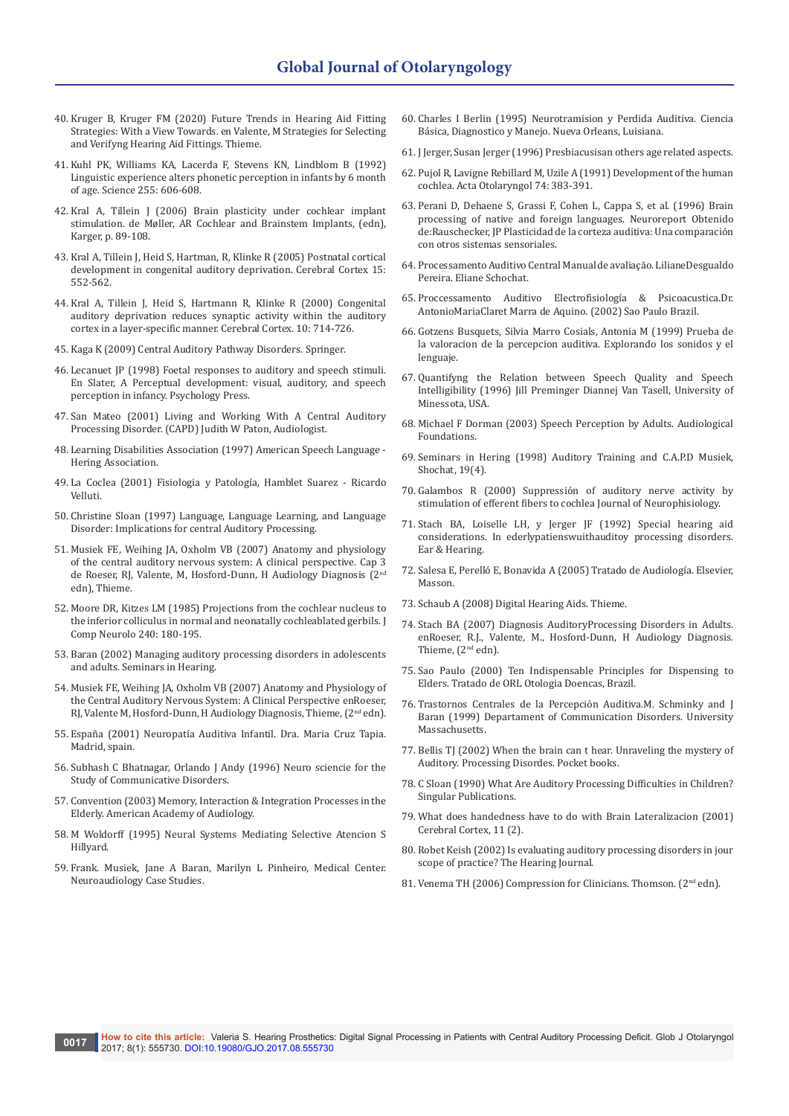- 40. Kruger B, Kruger FM (2020) Future Trends in Hearing Aid Fitting Strategies: With a View Towards. en Valente, M Strategies for Selecting and Verifyng Hearing Aid Fittings. Thieme.
- 41. [Kuhl PK, Williams KA, Lacerda F, Stevens KN, Lindblom B \(1992\)](http://science.sciencemag.org/content/255/5044/606)  [Linguistic experience alters phonetic perception in infants by 6 month](http://science.sciencemag.org/content/255/5044/606)  [of age. Science 255: 606-608.](http://science.sciencemag.org/content/255/5044/606)
- 42. Kral A, Tillein J (2006) Brain plasticity under cochlear implant stimulation. de Møller, AR Cochlear and Brainstem Implants, (edn), Karger, p. 89-108.
- 43. [Kral A, Tillein J, Heid S, Hartman, R, Klinke R \(2005\) Postnatal cortical](https://academic.oup.com/cercor/article/15/5/552/442150/Postnatal-Cortical-Development-in-Congenital)  [development in congenital auditory deprivation. Cerebral Cortex 15:](https://academic.oup.com/cercor/article/15/5/552/442150/Postnatal-Cortical-Development-in-Congenital)  [552-562.](https://academic.oup.com/cercor/article/15/5/552/442150/Postnatal-Cortical-Development-in-Congenital)
- 44. [Kral A, Tillein J, Heid S, Hartmann R, Klinke R \(2000\) Congenital](https://www.ncbi.nlm.nih.gov/pubmed/10906318)  [auditory deprivation reduces synaptic activity within the auditory](https://www.ncbi.nlm.nih.gov/pubmed/10906318)  [cortex in a layer-specific manner. Cerebral Cortex. 10: 714-726.](https://www.ncbi.nlm.nih.gov/pubmed/10906318)
- 45. Kaga K (2009) Central Auditory Pathway Disorders. Springer.
- 46. Lecanuet JP (1998) Foetal responses to auditory and speech stimuli. En Slater, A Perceptual development: visual, auditory, and speech perception in infancy. Psychology Press.
- 47. San Mateo (2001) Living and Working With A Central Auditory Processing Disorder. (CAPD) Judith W Paton, Audiologist.
- 48. Learning Disabilities Association (1997) American Speech Language Hering Association.
- 49. La Coclea (2001) Fisiologia y Patología, Hamblet Suarez Ricardo Velluti.
- 50. Christine Sloan (1997) Language, Language Learning, and Language Disorder: Implications for central Auditory Processing.
- 51. Musiek FE, Weihing JA, Oxholm VB (2007) Anatomy and physiology of the central auditory nervous system: A clinical perspective. Cap 3 de Roeser, RJ, Valente, M, Hosford-Dunn, H Audiology Diagnosis (2nd edn), Thieme.
- 52. Moore DR, Kitzes LM (1985) Projections from the cochlear nucleus to the inferior colliculus in normal and neonatally cochleablated gerbils. J Comp Neurolo 240: 180-195.
- 53. [Baran \(2002\) Managing auditory processing disorders in adolescents](https://www.thieme-connect.com/products/ejournals/abstract/10.1055/s-2002-35881)  [and adults. Seminars in Hearing.](https://www.thieme-connect.com/products/ejournals/abstract/10.1055/s-2002-35881)
- 54. Musiek FE, Weihing JA, Oxholm VB (2007) Anatomy and Physiology of the Central Auditory Nervous System: A Clinical Perspective enRoeser, RJ, Valente M, Hosford-Dunn, H Audiology Diagnosis, Thieme, (2nd edn).
- 55. España (2001) Neuropatía Auditiva Infantil. Dra. Maria Cruz Tapia. Madrid, spain.
- 56. Subhash C Bhatnagar, Orlando J Andy (1996) Neuro sciencie for the Study of Communicative Disorders.
- 57. Convention (2003) Memory, Interaction & Integration Processes in the Elderly. American Academy of Audiology.
- 58. M Woldorff (1995) Neural Systems Mediating Selective Atencion S Hillyard.
- 59. Frank. Musiek, Jane A Baran, Marilyn L Pinheiro, Medical Center. Neuroaudiology Case Studies.
- 60. Charles I Berlin (1995) Neurotramision y Perdida Auditiva. Ciencia Básica, Diagnostico y Manejo. Nueva Orleans, Luisiana.
- 61. J Jerger, Susan Jerger (1996) Presbiacusisan others age related aspects.
- 62. Pujol R, Lavigne Rebillard M, Uzile A (1991) Development of the human cochlea. Acta Otolaryngol 74: 383-391.
- 63. [Perani D, Dehaene S, Grassi F, Cohen L, Cappa S, et al. \(1996\) Brain](http://zaratamo.berritzeguneak.net/materiales_arch/296.doc)  [processing of native and foreign languages. Neuroreport Obtenido](http://zaratamo.berritzeguneak.net/materiales_arch/296.doc)  [de:Rauschecker, JP Plasticidad de la corteza auditiva: Una comparación](http://zaratamo.berritzeguneak.net/materiales_arch/296.doc)  [con otros sistemas sensoriales.](http://zaratamo.berritzeguneak.net/materiales_arch/296.doc)
- 64. Processamento Auditivo Central Manual de avaliaçāo. LilianeDesgualdo Pereira. Eliane Schochat.
- 65. Proccessamento Auditivo Electrofisiología & Psicoacustica.Dr. AntonioMariaClaret Marra de Aquino. (2002) Sao Paulo Brazil.
- 66. Gotzens Busquets, Silvia Marro Cosials, Antonia M (1999) Prueba de la valoracion de la percepcion auditiva. Explorando los sonidos y el lenguaje.
- 67. Quantifyng the Relation between Speech Quality and Speech Intelligibility (1996) Jill Preminger Diannej Van Tasell, University of Minessota, USA.
- 68. Michael F Dorman (2003) Speech Perception by Adults. Audiological Foundations.
- 69. Seminars in Hering (1998) Auditory Training and C.A.P.D Musiek, Shochat, 19(4).
- 70. Galambos R (2000) Suppressión of auditory nerve activity by stimulation of efferent fibers to cochlea Journal of Neurophisiology.
- 71. Stach BA, Loiselle LH, y Jerger JF (1992) Special hearing aid considerations. In ederlypatienswuithauditoy processing disorders. Ear & Hearing.
- 72. Salesa E, Perelló E, Bonavida A (2005) Tratado de Audiología. Elsevier, Masson.
- 73. Schaub A (2008) Digital Hearing Aids. Thieme.
- 74. Stach BA (2007) Diagnosis AuditoryProcessing Disorders in Adults. enRoeser, R.J., Valente, M., Hosford-Dunn, H Audiology Diagnosis. Thieme, (2<sup>nd</sup> edn).
- 75. Sao Paulo (2000) Ten Indispensable Principles for Dispensing to Elders. Tratado de ORL Otologia Doencas, Brazil.
- 76. Trastornos Centrales de la Percepción Auditiva.M. Schminky and J Baran (1999) Departament of Communication Disorders. University Massachusetts.
- 77. Bellis TJ (2002) When the brain can t hear. Unraveling the mystery of Auditory. Processing Disordes. Pocket books.
- 78. C Sloan (1990) What Are Auditory Processing Difficulties in Children? Singular Publications.
- 79. What does handedness have to do with Brain Lateralizacion (2001) Cerebral Cortex, 11 (2).
- 80. Robet Keish (2002) Is evaluating auditory processing disorders in jour scope of practice? The Hearing Journal.
- 81. Venema TH (2006) Compression for Clinicians. Thomson. (2<sup>nd</sup> edn).